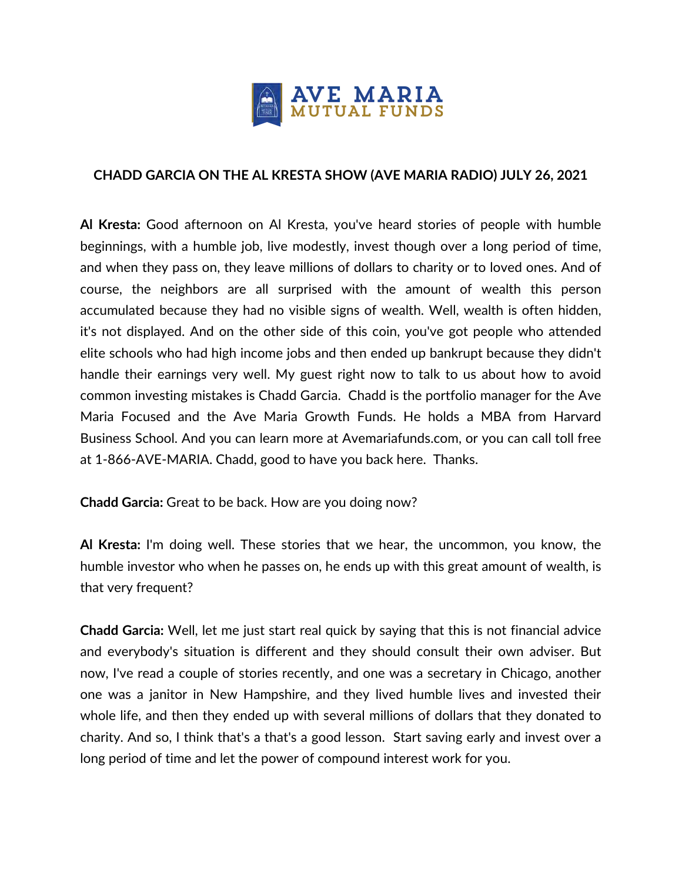

## **CHADD GARCIA ON THE AL KRESTA SHOW (AVE MARIA RADIO) JULY 26, 2021**

**Al Kresta:** Good afternoon on Al Kresta, you've heard stories of people with humble beginnings, with a humble job, live modestly, invest though over a long period of time, and when they pass on, they leave millions of dollars to charity or to loved ones. And of course, the neighbors are all surprised with the amount of wealth this person accumulated because they had no visible signs of wealth. Well, wealth is often hidden, it's not displayed. And on the other side of this coin, you've got people who attended elite schools who had high income jobs and then ended up bankrupt because they didn't handle their earnings very well. My guest right now to talk to us about how to avoid common investing mistakes is Chadd Garcia. Chadd is the portfolio manager for the Ave Maria Focused and the Ave Maria Growth Funds. He holds a MBA from Harvard Business School. And you can learn more at Avemariafunds.com, or you can call toll free at 1-866-AVE-MARIA. Chadd, good to have you back here. Thanks.

**Chadd Garcia:** Great to be back. How are you doing now?

**Al Kresta:** I'm doing well. These stories that we hear, the uncommon, you know, the humble investor who when he passes on, he ends up with this great amount of wealth, is that very frequent?

**Chadd Garcia:** Well, let me just start real quick by saying that this is not financial advice and everybody's situation is different and they should consult their own adviser. But now, I've read a couple of stories recently, and one was a secretary in Chicago, another one was a janitor in New Hampshire, and they lived humble lives and invested their whole life, and then they ended up with several millions of dollars that they donated to charity. And so, I think that's a that's a good lesson. Start saving early and invest over a long period of time and let the power of compound interest work for you.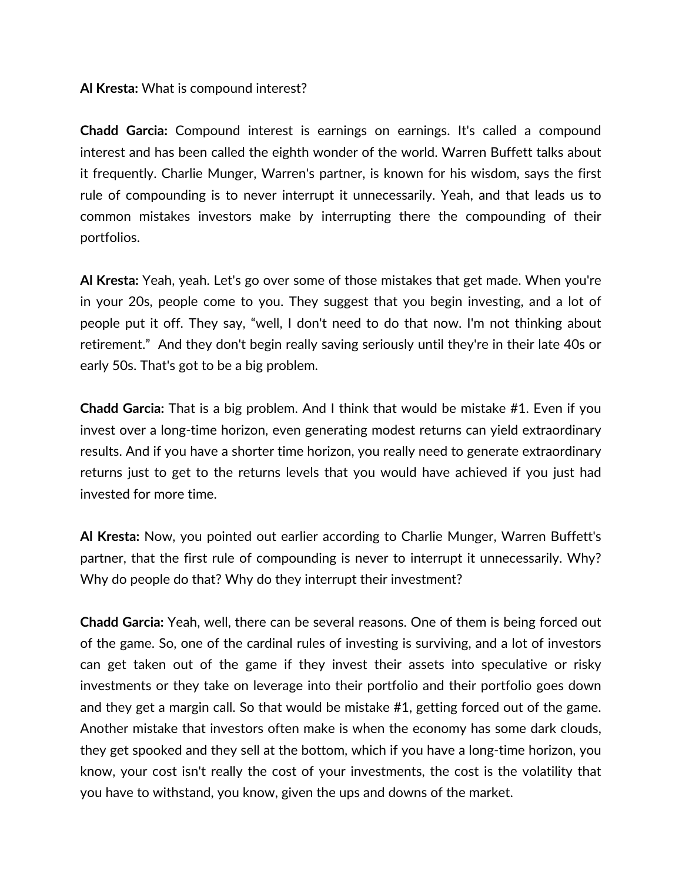## **Al Kresta:** What is compound interest?

**Chadd Garcia:** Compound interest is earnings on earnings. It's called a compound interest and has been called the eighth wonder of the world. Warren Buffett talks about it frequently. Charlie Munger, Warren's partner, is known for his wisdom, says the first rule of compounding is to never interrupt it unnecessarily. Yeah, and that leads us to common mistakes investors make by interrupting there the compounding of their portfolios.

**Al Kresta:** Yeah, yeah. Let's go over some of those mistakes that get made. When you're in your 20s, people come to you. They suggest that you begin investing, and a lot of people put it off. They say, "well, I don't need to do that now. I'm not thinking about retirement." And they don't begin really saving seriously until they're in their late 40s or early 50s. That's got to be a big problem.

**Chadd Garcia:** That is a big problem. And I think that would be mistake #1. Even if you invest over a long-time horizon, even generating modest returns can yield extraordinary results. And if you have a shorter time horizon, you really need to generate extraordinary returns just to get to the returns levels that you would have achieved if you just had invested for more time.

**Al Kresta:** Now, you pointed out earlier according to Charlie Munger, Warren Buffett's partner, that the first rule of compounding is never to interrupt it unnecessarily. Why? Why do people do that? Why do they interrupt their investment?

**Chadd Garcia:** Yeah, well, there can be several reasons. One of them is being forced out of the game. So, one of the cardinal rules of investing is surviving, and a lot of investors can get taken out of the game if they invest their assets into speculative or risky investments or they take on leverage into their portfolio and their portfolio goes down and they get a margin call. So that would be mistake #1, getting forced out of the game. Another mistake that investors often make is when the economy has some dark clouds, they get spooked and they sell at the bottom, which if you have a long-time horizon, you know, your cost isn't really the cost of your investments, the cost is the volatility that you have to withstand, you know, given the ups and downs of the market.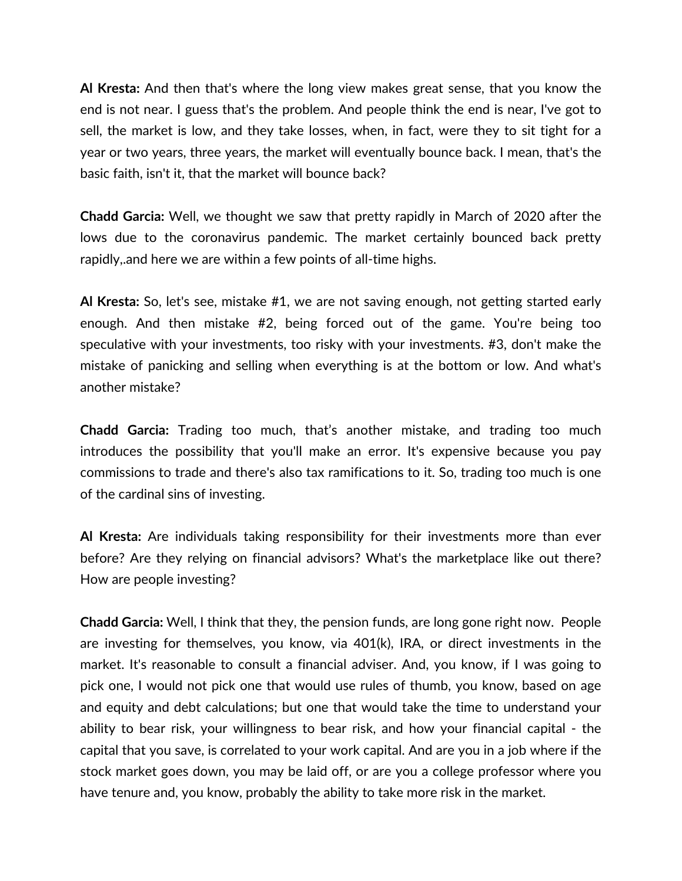**Al Kresta:** And then that's where the long view makes great sense, that you know the end is not near. I guess that's the problem. And people think the end is near, I've got to sell, the market is low, and they take losses, when, in fact, were they to sit tight for a year or two years, three years, the market will eventually bounce back. I mean, that's the basic faith, isn't it, that the market will bounce back?

**Chadd Garcia:** Well, we thought we saw that pretty rapidly in March of 2020 after the lows due to the coronavirus pandemic. The market certainly bounced back pretty rapidly,.and here we are within a few points of all-time highs.

**Al Kresta:** So, let's see, mistake #1, we are not saving enough, not getting started early enough. And then mistake #2, being forced out of the game. You're being too speculative with your investments, too risky with your investments. #3, don't make the mistake of panicking and selling when everything is at the bottom or low. And what's another mistake?

**Chadd Garcia:** Trading too much, that's another mistake, and trading too much introduces the possibility that you'll make an error. It's expensive because you pay commissions to trade and there's also tax ramifications to it. So, trading too much is one of the cardinal sins of investing.

**Al Kresta:** Are individuals taking responsibility for their investments more than ever before? Are they relying on financial advisors? What's the marketplace like out there? How are people investing?

**Chadd Garcia:** Well, I think that they, the pension funds, are long gone right now. People are investing for themselves, you know, via 401(k), IRA, or direct investments in the market. It's reasonable to consult a financial adviser. And, you know, if I was going to pick one, I would not pick one that would use rules of thumb, you know, based on age and equity and debt calculations; but one that would take the time to understand your ability to bear risk, your willingness to bear risk, and how your financial capital - the capital that you save, is correlated to your work capital. And are you in a job where if the stock market goes down, you may be laid off, or are you a college professor where you have tenure and, you know, probably the ability to take more risk in the market.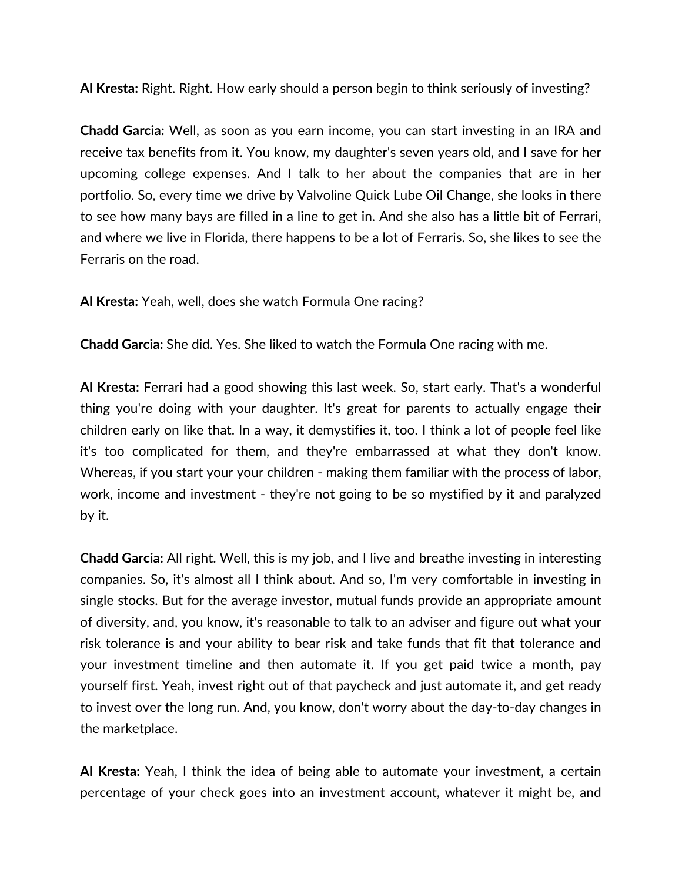**Al Kresta:** Right. Right. How early should a person begin to think seriously of investing?

**Chadd Garcia:** Well, as soon as you earn income, you can start investing in an IRA and receive tax benefits from it. You know, my daughter's seven years old, and I save for her upcoming college expenses. And I talk to her about the companies that are in her portfolio. So, every time we drive by Valvoline Quick Lube Oil Change, she looks in there to see how many bays are filled in a line to get in. And she also has a little bit of Ferrari, and where we live in Florida, there happens to be a lot of Ferraris. So, she likes to see the Ferraris on the road.

**Al Kresta:** Yeah, well, does she watch Formula One racing?

**Chadd Garcia:** She did. Yes. She liked to watch the Formula One racing with me.

**Al Kresta:** Ferrari had a good showing this last week. So, start early. That's a wonderful thing you're doing with your daughter. It's great for parents to actually engage their children early on like that. In a way, it demystifies it, too. I think a lot of people feel like it's too complicated for them, and they're embarrassed at what they don't know. Whereas, if you start your your children - making them familiar with the process of labor, work, income and investment - they're not going to be so mystified by it and paralyzed by it.

**Chadd Garcia:** All right. Well, this is my job, and I live and breathe investing in interesting companies. So, it's almost all I think about. And so, I'm very comfortable in investing in single stocks. But for the average investor, mutual funds provide an appropriate amount of diversity, and, you know, it's reasonable to talk to an adviser and figure out what your risk tolerance is and your ability to bear risk and take funds that fit that tolerance and your investment timeline and then automate it. If you get paid twice a month, pay yourself first. Yeah, invest right out of that paycheck and just automate it, and get ready to invest over the long run. And, you know, don't worry about the day-to-day changes in the marketplace.

**Al Kresta:** Yeah, I think the idea of being able to automate your investment, a certain percentage of your check goes into an investment account, whatever it might be, and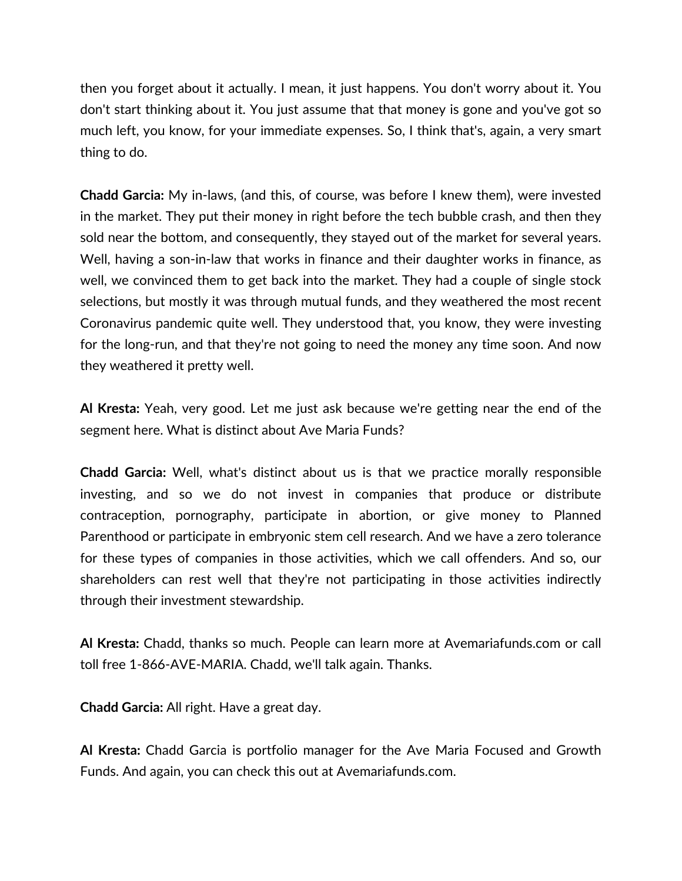then you forget about it actually. I mean, it just happens. You don't worry about it. You don't start thinking about it. You just assume that that money is gone and you've got so much left, you know, for your immediate expenses. So, I think that's, again, a very smart thing to do.

**Chadd Garcia:** My in-laws, (and this, of course, was before I knew them), were invested in the market. They put their money in right before the tech bubble crash, and then they sold near the bottom, and consequently, they stayed out of the market for several years. Well, having a son-in-law that works in finance and their daughter works in finance, as well, we convinced them to get back into the market. They had a couple of single stock selections, but mostly it was through mutual funds, and they weathered the most recent Coronavirus pandemic quite well. They understood that, you know, they were investing for the long-run, and that they're not going to need the money any time soon. And now they weathered it pretty well.

**Al Kresta:** Yeah, very good. Let me just ask because we're getting near the end of the segment here. What is distinct about Ave Maria Funds?

**Chadd Garcia:** Well, what's distinct about us is that we practice morally responsible investing, and so we do not invest in companies that produce or distribute contraception, pornography, participate in abortion, or give money to Planned Parenthood or participate in embryonic stem cell research. And we have a zero tolerance for these types of companies in those activities, which we call offenders. And so, our shareholders can rest well that they're not participating in those activities indirectly through their investment stewardship.

**Al Kresta:** Chadd, thanks so much. People can learn more at Avemariafunds.com or call toll free 1-866-AVE-MARIA. Chadd, we'll talk again. Thanks.

**Chadd Garcia:** All right. Have a great day.

**Al Kresta:** Chadd Garcia is portfolio manager for the Ave Maria Focused and Growth Funds. And again, you can check this out at Avemariafunds.com.